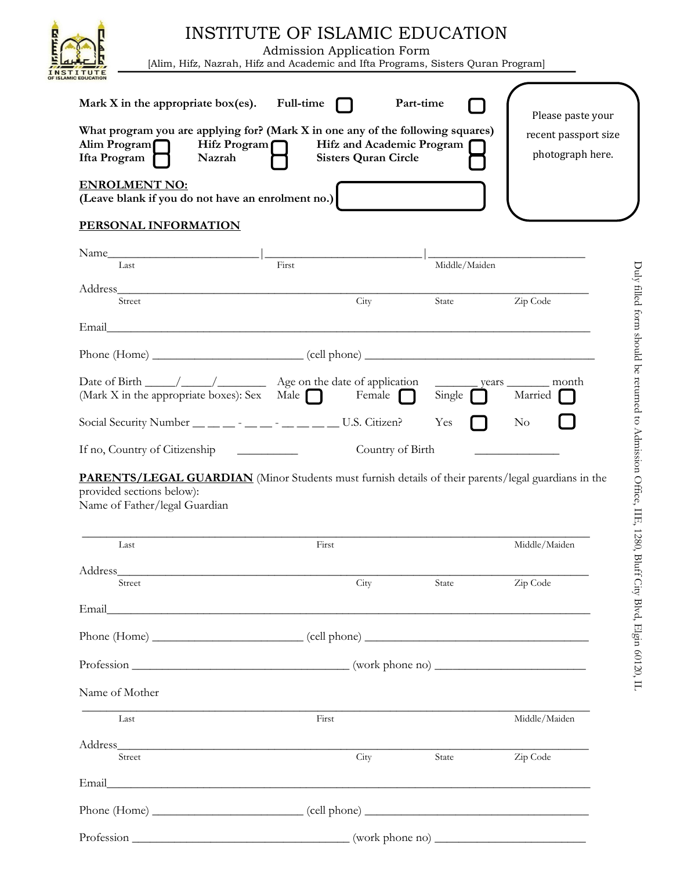|                                                                                                                                                                                                  | <b>Admission Application Form</b><br>[Alim, Hifz, Nazrah, Hifz and Academic and Ifta Programs, Sisters Quran Program] |                                                          | INSTITUTE OF ISLAMIC EDUCATION |                                                               |
|--------------------------------------------------------------------------------------------------------------------------------------------------------------------------------------------------|-----------------------------------------------------------------------------------------------------------------------|----------------------------------------------------------|--------------------------------|---------------------------------------------------------------|
| Mark X in the appropriate box(es). Full-time<br>What program you are applying for? (Mark X in one any of the following squares)<br>Alim Program<br>Hifz Program $\Box$<br>Ifta Program<br>Nazrah |                                                                                                                       | Hifz and Academic Program<br><b>Sisters Quran Circle</b> | Part-time                      | Please paste your<br>recent passport size<br>photograph here. |
| <b>ENROLMENT NO:</b><br>(Leave blank if you do not have an enrolment no.)                                                                                                                        |                                                                                                                       |                                                          |                                |                                                               |
| PERSONAL INFORMATION                                                                                                                                                                             |                                                                                                                       |                                                          |                                |                                                               |
| Name<br>Last                                                                                                                                                                                     | First                                                                                                                 |                                                          | Middle/Maiden                  |                                                               |
| Address<br>Street                                                                                                                                                                                |                                                                                                                       | City                                                     | State                          | Zip Code                                                      |
| Email                                                                                                                                                                                            |                                                                                                                       |                                                          |                                |                                                               |
|                                                                                                                                                                                                  |                                                                                                                       |                                                          |                                |                                                               |
| (Mark X in the appropriate boxes): Sex Male                                                                                                                                                      |                                                                                                                       | Female $\Box$                                            | Single                         | _ years _________ month<br>Married                            |
|                                                                                                                                                                                                  |                                                                                                                       |                                                          |                                |                                                               |
| Social Security Number __ _ _ _ _ _ _ _ _ _ _ _ _ _ _ U.S. Citizen?                                                                                                                              |                                                                                                                       |                                                          | Yes                            | N <sub>o</sub>                                                |
| If no, Country of Citizenship                                                                                                                                                                    |                                                                                                                       | Country of Birth                                         |                                |                                                               |
| <b>PARENTS/LEGAL GUARDIAN</b> (Minor Students must furnish details of their parents/legal guardians in the<br>provided sections below):<br>Name of Father/legal Guardian                         |                                                                                                                       |                                                          |                                |                                                               |
| Last                                                                                                                                                                                             | First                                                                                                                 |                                                          |                                | Middle/Maiden                                                 |
|                                                                                                                                                                                                  |                                                                                                                       |                                                          |                                |                                                               |
| $\overline{\text{Street}}$                                                                                                                                                                       |                                                                                                                       | City                                                     | State                          | Zip Code                                                      |
|                                                                                                                                                                                                  |                                                                                                                       |                                                          |                                |                                                               |
|                                                                                                                                                                                                  |                                                                                                                       |                                                          |                                |                                                               |
|                                                                                                                                                                                                  |                                                                                                                       |                                                          |                                |                                                               |
| Name of Mother                                                                                                                                                                                   |                                                                                                                       |                                                          |                                |                                                               |
| Last                                                                                                                                                                                             | First                                                                                                                 |                                                          |                                | Middle/Maiden                                                 |
|                                                                                                                                                                                                  |                                                                                                                       |                                                          |                                |                                                               |
| Street                                                                                                                                                                                           |                                                                                                                       | City                                                     | State                          | Zip Code                                                      |
|                                                                                                                                                                                                  |                                                                                                                       |                                                          |                                |                                                               |